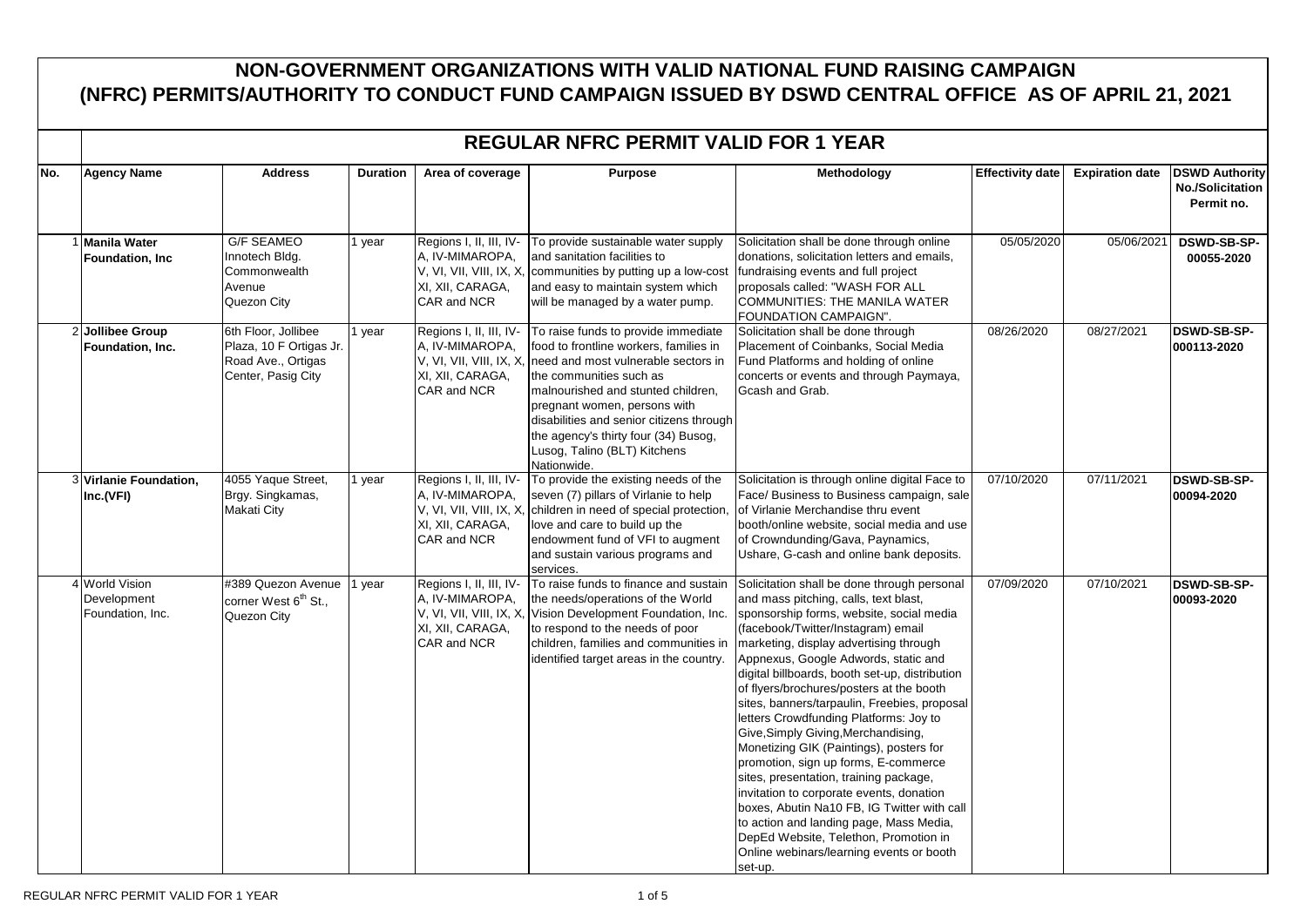## **NON-GOVERNMENT ORGANIZATIONS WITH VALID NATIONAL FUND RAISING CAMPAIGN (NFRC) PERMITS/AUTHORITY TO CONDUCT FUND CAMPAIGN ISSUED BY DSWD CENTRAL OFFICE AS OF APRIL 21, 2021**

|     | <b>REGULAR NFRC PERMIT VALID FOR 1 YEAR</b>       |                                                                                            |                 |                                                                                                          |                                                                                                                                                                                                                                                                                                                                                          |                                                                                                                                                                                                                                                                                                                                                                                                                                                                                                                                                                                                                                                                                                                                                                                                                                                            |                         |                        |                                                                |
|-----|---------------------------------------------------|--------------------------------------------------------------------------------------------|-----------------|----------------------------------------------------------------------------------------------------------|----------------------------------------------------------------------------------------------------------------------------------------------------------------------------------------------------------------------------------------------------------------------------------------------------------------------------------------------------------|------------------------------------------------------------------------------------------------------------------------------------------------------------------------------------------------------------------------------------------------------------------------------------------------------------------------------------------------------------------------------------------------------------------------------------------------------------------------------------------------------------------------------------------------------------------------------------------------------------------------------------------------------------------------------------------------------------------------------------------------------------------------------------------------------------------------------------------------------------|-------------------------|------------------------|----------------------------------------------------------------|
| No. | <b>Agency Name</b>                                | <b>Address</b>                                                                             | <b>Duration</b> | Area of coverage                                                                                         | <b>Purpose</b>                                                                                                                                                                                                                                                                                                                                           | Methodology                                                                                                                                                                                                                                                                                                                                                                                                                                                                                                                                                                                                                                                                                                                                                                                                                                                | <b>Effectivity date</b> | <b>Expiration date</b> | <b>DSWD Authority</b><br><b>No./Solicitation</b><br>Permit no. |
|     | <b>Manila Water</b><br>Foundation, Inc.           | <b>G/F SEAMEO</b><br>Innotech Bldg.<br>Commonwealth<br>Avenue<br>Quezon City               | year            | Regions I, II, III, IV-<br>A, IV-MIMAROPA,<br>V, VI, VII, VIII, IX, X<br>XI, XII, CARAGA,<br>CAR and NCR | To provide sustainable water supply<br>and sanitation facilities to<br>communities by putting up a low-cost<br>and easy to maintain system which<br>will be managed by a water pump.                                                                                                                                                                     | Solicitation shall be done through online<br>donations, solicitation letters and emails,<br>fundraising events and full project<br>proposals called: "WASH FOR ALL<br>COMMUNITIES: THE MANILA WATER<br>FOUNDATION CAMPAIGN".                                                                                                                                                                                                                                                                                                                                                                                                                                                                                                                                                                                                                               | 05/05/2020              | 05/06/2021             | <b>DSWD-SB-SP-</b><br>00055-2020                               |
|     | 2 Jollibee Group<br>Foundation, Inc.              | 6th Floor, Jollibee<br>Plaza, 10 F Ortigas Jr.<br>Road Ave., Ortigas<br>Center, Pasig City | year            | Regions I, II, III, IV-<br>A, IV-MIMAROPA,<br>V, VI, VII, VIII, IX, X<br>XI, XII, CARAGA,<br>CAR and NCR | To raise funds to provide immediate<br>food to frontline workers, families in<br>need and most vulnerable sectors in<br>the communities such as<br>malnourished and stunted children,<br>pregnant women, persons with<br>disabilities and senior citizens through<br>the agency's thirty four (34) Busog,<br>Lusog, Talino (BLT) Kitchens<br>Nationwide. | Solicitation shall be done through<br>Placement of Coinbanks, Social Media<br>Fund Platforms and holding of online<br>concerts or events and through Paymaya,<br>Gcash and Grab.                                                                                                                                                                                                                                                                                                                                                                                                                                                                                                                                                                                                                                                                           | 08/26/2020              | 08/27/2021             | <b>DSWD-SB-SP-</b><br>000113-2020                              |
|     | 3 Virlanie Foundation,<br>Inc.(VFI)               | 4055 Yaque Street,<br>Brgy. Singkamas,<br><b>Makati City</b>                               | year            | Regions I, II, III, IV-<br>A, IV-MIMAROPA,<br>V, VI, VII, VIII, IX, X<br>XI, XII, CARAGA,<br>CAR and NCR | To provide the existing needs of the<br>seven (7) pillars of Virlanie to help<br>children in need of special protection,<br>love and care to build up the<br>endowment fund of VFI to augment<br>and sustain various programs and<br>services.                                                                                                           | Solicitation is through online digital Face to<br>Face/ Business to Business campaign, sale<br>of Virlanie Merchandise thru event<br>booth/online website, social media and use<br>of Crowndunding/Gava, Paynamics,<br>Ushare, G-cash and online bank deposits.                                                                                                                                                                                                                                                                                                                                                                                                                                                                                                                                                                                            | 07/10/2020              | 07/11/2021             | <b>DSWD-SB-SP-</b><br>00094-2020                               |
|     | 4 World Vision<br>Development<br>Foundation, Inc. | #389 Quezon Avenue<br>corner West 6 <sup>th</sup> St.,<br>Quezon City                      | vear            | Regions I, II, III, IV-<br>A, IV-MIMAROPA,<br>XI, XII, CARAGA,<br>CAR and NCR                            | To raise funds to finance and sustain<br>the needs/operations of the World<br>V, VI, VII, VIII, IX, X, Vision Development Foundation, Inc.<br>to respond to the needs of poor<br>children, families and communities in<br>identified target areas in the country.                                                                                        | Solicitation shall be done through personal<br>and mass pitching, calls, text blast,<br>sponsorship forms, website, social media<br>(facebook/Twitter/Instagram) email<br>marketing, display advertising through<br>Appnexus, Google Adwords, static and<br>digital billboards, booth set-up, distribution<br>of flyers/brochures/posters at the booth<br>sites, banners/tarpaulin, Freebies, proposal<br>letters Crowdfunding Platforms: Joy to<br>Give, Simply Giving, Merchandising,<br>Monetizing GIK (Paintings), posters for<br>promotion, sign up forms, E-commerce<br>sites, presentation, training package,<br>invitation to corporate events, donation<br>boxes, Abutin Na10 FB, IG Twitter with call<br>to action and landing page, Mass Media,<br>DepEd Website, Telethon, Promotion in<br>Online webinars/learning events or booth<br>set-up. | 07/09/2020              | 07/10/2021             | <b>DSWD-SB-SP-</b><br>00093-2020                               |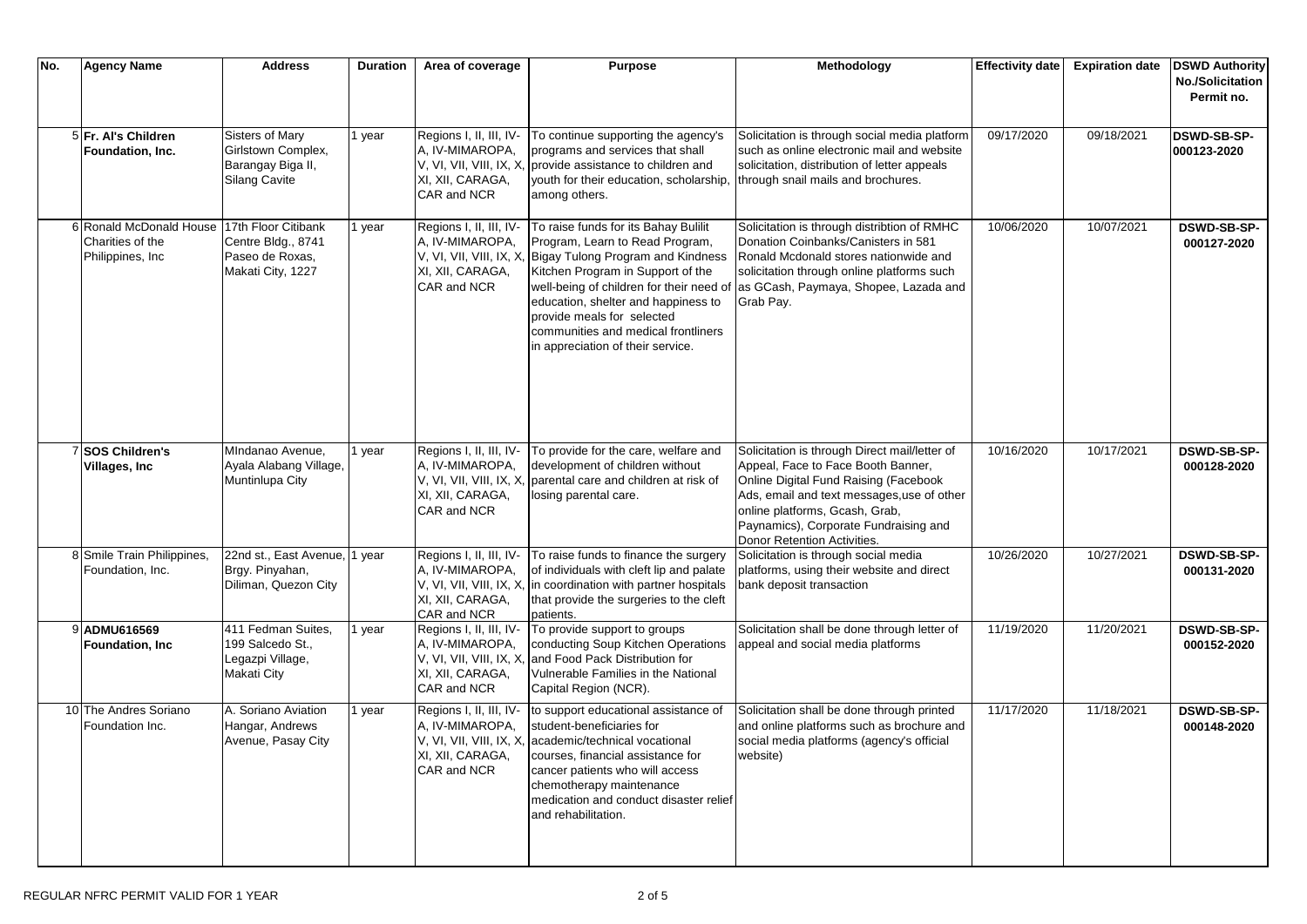| No. | <b>Agency Name</b>                                               | <b>Address</b>                                                                    | <b>Duration</b> | Area of coverage                                                                                         | Purpose                                                                                                                                                                                                                                                                                                                                                                 | Methodology                                                                                                                                                                                                                                                                          | <b>Effectivity date</b> | <b>Expiration date</b> | <b>DSWD Authority</b>                 |
|-----|------------------------------------------------------------------|-----------------------------------------------------------------------------------|-----------------|----------------------------------------------------------------------------------------------------------|-------------------------------------------------------------------------------------------------------------------------------------------------------------------------------------------------------------------------------------------------------------------------------------------------------------------------------------------------------------------------|--------------------------------------------------------------------------------------------------------------------------------------------------------------------------------------------------------------------------------------------------------------------------------------|-------------------------|------------------------|---------------------------------------|
|     |                                                                  |                                                                                   |                 |                                                                                                          |                                                                                                                                                                                                                                                                                                                                                                         |                                                                                                                                                                                                                                                                                      |                         |                        | <b>No./Solicitation</b><br>Permit no. |
|     | 5 Fr. Al's Children<br>Foundation, Inc.                          | Sisters of Mary<br>Girlstown Complex,<br>Barangay Biga II,<br>Silang Cavite       | I year          | Regions I, II, III, IV-<br>A, IV-MIMAROPA,<br>XI, XII, CARAGA,<br>CAR and NCR                            | To continue supporting the agency's<br>programs and services that shall<br>V, VI, VII, VIII, IX, X, provide assistance to children and<br>youth for their education, scholarship,<br>among others.                                                                                                                                                                      | Solicitation is through social media platform<br>such as online electronic mail and website<br>solicitation, distribution of letter appeals<br>through snail mails and brochures.                                                                                                    | 09/17/2020              | 09/18/2021             | <b>DSWD-SB-SP-</b><br>000123-2020     |
|     | 6 Ronald McDonald House<br>Charities of the<br>Philippines, Inc. | 17th Floor Citibank<br>Centre Bldg., 8741<br>Paseo de Roxas,<br>Makati City, 1227 | year            | Regions I, II, III, IV-<br>A, IV-MIMAROPA,<br>XI, XII, CARAGA,<br>CAR and NCR                            | To raise funds for its Bahay Bulilit<br>Program, Learn to Read Program,<br>V, VI, VII, VIII, IX, X, Bigay Tulong Program and Kindness<br>Kitchen Program in Support of the<br>well-being of children for their need of<br>education, shelter and happiness to<br>provide meals for selected<br>communities and medical frontliners<br>in appreciation of their service. | Solicitation is through distribtion of RMHC<br>Donation Coinbanks/Canisters in 581<br>Ronald Mcdonald stores nationwide and<br>solicitation through online platforms such<br>as GCash, Paymaya, Shopee, Lazada and<br>Grab Pay.                                                      | 10/06/2020              | 10/07/2021             | DSWD-SB-SP-<br>000127-2020            |
|     | 7 SOS Children's<br>Villages, Inc.                               | MIndanao Avenue.<br>Ayala Alabang Village,<br>Muntinlupa City                     | year            | Regions I, II, III, IV-<br>A, IV-MIMAROPA,<br>V, VI, VII, VIII, IX, X<br>XI, XII, CARAGA,<br>CAR and NCR | To provide for the care, welfare and<br>development of children without<br>parental care and children at risk of<br>losing parental care.                                                                                                                                                                                                                               | Solicitation is through Direct mail/letter of<br>Appeal, Face to Face Booth Banner,<br>Online Digital Fund Raising (Facebook<br>Ads, email and text messages, use of other<br>online platforms, Gcash, Grab,<br>Paynamics), Corporate Fundraising and<br>Donor Retention Activities. | 10/16/2020              | 10/17/2021             | <b>DSWD-SB-SP-</b><br>000128-2020     |
|     | 8 Smile Train Philippines,<br>Foundation, Inc.                   | 22nd st., East Avenue,<br>Brgy. Pinyahan,<br>Diliman, Quezon City                 | 1 year          | Regions I, II, III, IV-<br>A, IV-MIMAROPA,<br>XI, XII, CARAGA,<br>CAR and NCR                            | To raise funds to finance the surgery<br>of individuals with cleft lip and palate<br>V, VI, VII, VIII, IX, X, In coordination with partner hospitals<br>that provide the surgeries to the cleft<br>patients.                                                                                                                                                            | Solicitation is through social media<br>platforms, using their website and direct<br>bank deposit transaction                                                                                                                                                                        | 10/26/2020              | 10/27/2021             | <b>DSWD-SB-SP-</b><br>000131-2020     |
|     | 9 ADMU616569<br><b>Foundation, Inc.</b>                          | 411 Fedman Suites,<br>199 Salcedo St.,<br>Legazpi Village,<br><b>Makati City</b>  | 1 year          | Regions I, II, III, IV-<br>A, IV-MIMAROPA,<br>V, VI, VII, VIII, IX, X<br>XI, XII, CARAGA,<br>CAR and NCR | To provide support to groups<br>conducting Soup Kitchen Operations<br>and Food Pack Distribution for<br>Vulnerable Families in the National<br>Capital Region (NCR).                                                                                                                                                                                                    | Solicitation shall be done through letter of<br>appeal and social media platforms                                                                                                                                                                                                    | 11/19/2020              | 11/20/2021             | <b>DSWD-SB-SP-</b><br>000152-2020     |
|     | 10 The Andres Soriano<br>Foundation Inc.                         | A. Soriano Aviation<br>Hangar, Andrews<br>Avenue, Pasay City                      | I year          | Regions I, II, III, IV-<br>A, IV-MIMAROPA,<br>V, VI, VII, VIII, IX, X<br>XI, XII, CARAGA,<br>CAR and NCR | to support educational assistance of<br>student-beneficiaries for<br>academic/technical vocational<br>courses, financial assistance for<br>cancer patients who will access<br>chemotherapy maintenance<br>medication and conduct disaster relief<br>and rehabilitation.                                                                                                 | Solicitation shall be done through printed<br>and online platforms such as brochure and<br>social media platforms (agency's official<br>website)                                                                                                                                     | 11/17/2020              | 11/18/2021             | <b>DSWD-SB-SP-</b><br>000148-2020     |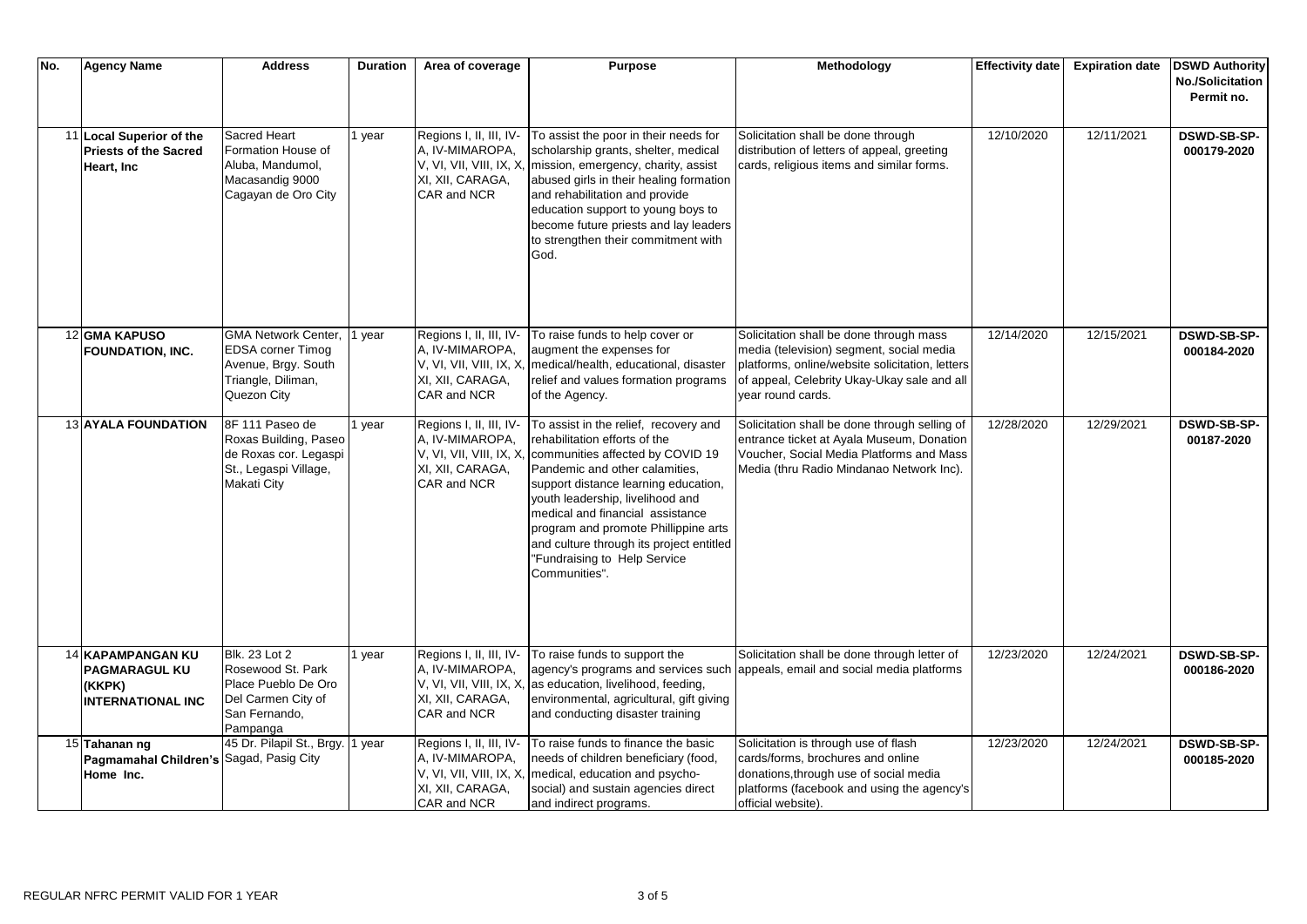| No. | <b>Agency Name</b>                                                              | <b>Address</b>                                                                                                     | <b>Duration</b> | Area of coverage                                                                                          | <b>Purpose</b>                                                                                                                                                                                                                                                                                                                                                                                    | Methodology                                                                                                                                                                                                | <b>Effectivity date</b> | <b>Expiration date</b> | <b>DSWD Authority</b>                 |
|-----|---------------------------------------------------------------------------------|--------------------------------------------------------------------------------------------------------------------|-----------------|-----------------------------------------------------------------------------------------------------------|---------------------------------------------------------------------------------------------------------------------------------------------------------------------------------------------------------------------------------------------------------------------------------------------------------------------------------------------------------------------------------------------------|------------------------------------------------------------------------------------------------------------------------------------------------------------------------------------------------------------|-------------------------|------------------------|---------------------------------------|
|     |                                                                                 |                                                                                                                    |                 |                                                                                                           |                                                                                                                                                                                                                                                                                                                                                                                                   |                                                                                                                                                                                                            |                         |                        | <b>No./Solicitation</b><br>Permit no. |
|     | 11 Local Superior of the<br><b>Priests of the Sacred</b><br>Heart, Inc.         | Sacred Heart<br>Formation House of<br>Aluba, Mandumol,<br>Macasandig 9000<br>Cagayan de Oro City                   | l year          | Regions I, II, III, IV-<br>A, IV-MIMAROPA,<br>XI, XII, CARAGA,<br>CAR and NCR                             | To assist the poor in their needs for<br>scholarship grants, shelter, medical<br>V, VI, VII, VIII, IX, X, mission, emergency, charity, assist<br>abused girls in their healing formation<br>and rehabilitation and provide<br>education support to young boys to<br>become future priests and lay leaders<br>to strengthen their commitment with<br>God.                                          | Solicitation shall be done through<br>distribution of letters of appeal, greeting<br>cards, religious items and similar forms.                                                                             | 12/10/2020              | 12/11/2021             | DSWD-SB-SP-<br>000179-2020            |
|     | 12 GMA KAPUSO<br><b>FOUNDATION, INC.</b>                                        | <b>GMA Network Center,</b><br><b>EDSA corner Timog</b><br>Avenue, Brgy. South<br>Triangle, Diliman,<br>Quezon City | I year          | Regions I, II, III, IV-<br>A, IV-MIMAROPA,<br>XI, XII, CARAGA,<br>CAR and NCR                             | To raise funds to help cover or<br>augment the expenses for<br>V, VI, VII, VIII, IX, X,   medical/health, educational, disaster<br>relief and values formation programs<br>of the Agency.                                                                                                                                                                                                         | Solicitation shall be done through mass<br>media (television) segment, social media<br>platforms, online/website solicitation, letters<br>of appeal, Celebrity Ukay-Ukay sale and all<br>vear round cards. | 12/14/2020              | 12/15/2021             | <b>DSWD-SB-SP-</b><br>000184-2020     |
|     | <b>13 AYALA FOUNDATION</b>                                                      | 8F 111 Paseo de<br>Roxas Building, Paseo<br>de Roxas cor. Legaspi<br>St., Legaspi Village,<br><b>Makati City</b>   | l year          | Regions I, II, III, IV-<br>A, IV-MIMAROPA,<br>V, VI, VII, VIII, IX, X<br>XI, XII, CARAGA,<br>CAR and NCR  | To assist in the relief, recovery and<br>rehabilitation efforts of the<br>communities affected by COVID 19<br>Pandemic and other calamities,<br>support distance learning education,<br>youth leadership, livelihood and<br>medical and financial assistance<br>program and promote Phillippine arts<br>and culture through its project entitled<br>"Fundraising to Help Service<br>Communities". | Solicitation shall be done through selling of<br>entrance ticket at Ayala Museum, Donation<br>Voucher, Social Media Platforms and Mass<br>Media (thru Radio Mindanao Network Inc).                         | 12/28/2020              | 12/29/2021             | <b>DSWD-SB-SP-</b><br>00187-2020      |
|     | 14 KAPAMPANGAN KU<br><b>PAGMARAGUL KU</b><br>(KKPK)<br><b>INTERNATIONAL INC</b> | Blk. 23 Lot 2<br>Rosewood St. Park<br>Place Pueblo De Oro<br>Del Carmen City of<br>San Fernando,<br>Pampanga       | year            | Regions I, II, III, IV-<br>A, IV-MIMAROPA,<br>V, VI, VII, VIII, IX, X,<br>XI, XII, CARAGA,<br>CAR and NCR | To raise funds to support the<br>as education, livelihood, feeding,<br>environmental, agricultural, gift giving<br>and conducting disaster training                                                                                                                                                                                                                                               | Solicitation shall be done through letter of<br>agency's programs and services such appeals, email and social media platforms                                                                              | 12/23/2020              | 12/24/2021             | <b>DSWD-SB-SP-</b><br>000186-2020     |
|     | 15 Tahanan ng<br>Pagmamahal Children's Sagad, Pasig City<br>Home Inc.           | 45 Dr. Pilapil St., Brgy.                                                                                          | 1 year          | Regions I, II, III, IV-<br>A, IV-MIMAROPA,<br>XI, XII, CARAGA,<br>CAR and NCR                             | To raise funds to finance the basic<br>needs of children beneficiary (food,<br>V, VI, VII, VIII, IX, X, medical, education and psycho-<br>social) and sustain agencies direct<br>and indirect programs.                                                                                                                                                                                           | Solicitation is through use of flash<br>cards/forms, brochures and online<br>donations, through use of social media<br>platforms (facebook and using the agency's<br>official website).                    | 12/23/2020              | 12/24/2021             | <b>DSWD-SB-SP-</b><br>000185-2020     |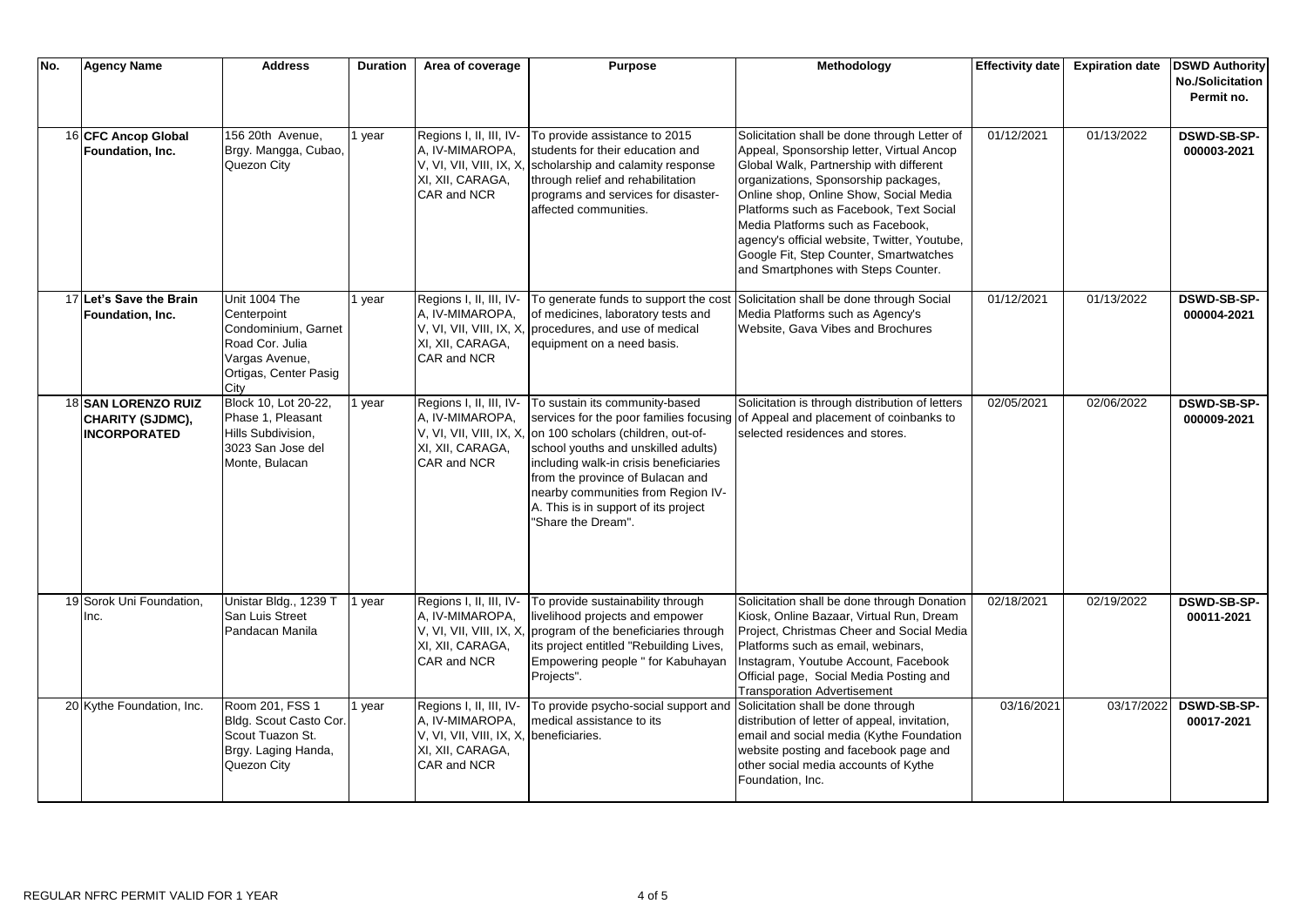| No. | <b>Agency Name</b>                                                    | <b>Address</b>                                                                                                            | <b>Duration</b> | Area of coverage                                                                                                                | <b>Purpose</b>                                                                                                                                                                                                                                                                                                                           | Methodology                                                                                                                                                                                                                                                                                                                                                                                                                             | <b>Effectivity date</b> | <b>Expiration date</b> | <b>DSWD Authority</b><br><b>No./Solicitation</b> |
|-----|-----------------------------------------------------------------------|---------------------------------------------------------------------------------------------------------------------------|-----------------|---------------------------------------------------------------------------------------------------------------------------------|------------------------------------------------------------------------------------------------------------------------------------------------------------------------------------------------------------------------------------------------------------------------------------------------------------------------------------------|-----------------------------------------------------------------------------------------------------------------------------------------------------------------------------------------------------------------------------------------------------------------------------------------------------------------------------------------------------------------------------------------------------------------------------------------|-------------------------|------------------------|--------------------------------------------------|
|     |                                                                       |                                                                                                                           |                 |                                                                                                                                 |                                                                                                                                                                                                                                                                                                                                          |                                                                                                                                                                                                                                                                                                                                                                                                                                         |                         |                        | Permit no.                                       |
|     | 16 CFC Ancop Global<br>Foundation, Inc.                               | 156 20th Avenue,<br>Brgy. Mangga, Cubao,<br>Quezon City                                                                   | I year          | Regions I, II, III, IV-<br>A, IV-MIMAROPA,<br>V, VI, VII, VIII, IX, X<br>XI, XII, CARAGA,<br>CAR and NCR                        | To provide assistance to 2015<br>students for their education and<br>scholarship and calamity response<br>through relief and rehabilitation<br>programs and services for disaster-<br>affected communities.                                                                                                                              | Solicitation shall be done through Letter of<br>Appeal, Sponsorship letter, Virtual Ancop<br>Global Walk, Partnership with different<br>organizations, Sponsorship packages,<br>Online shop, Online Show, Social Media<br>Platforms such as Facebook, Text Social<br>Media Platforms such as Facebook,<br>agency's official website, Twitter, Youtube,<br>Google Fit, Step Counter, Smartwatches<br>and Smartphones with Steps Counter. | 01/12/2021              | 01/13/2022             | <b>DSWD-SB-SP-</b><br>000003-2021                |
|     | 17 Let's Save the Brain<br>Foundation, Inc.                           | Unit 1004 The<br>Centerpoint<br>Condominium, Garnet<br>Road Cor. Julia<br>Vargas Avenue,<br>Ortigas, Center Pasig<br>City | year            | Regions I, II, III, IV-<br>A, IV-MIMAROPA,<br>V, VI, VII, VIII, IX, X<br>XI, XII, CARAGA,<br>CAR and NCR                        | To generate funds to support the cost<br>of medicines, laboratory tests and<br>procedures, and use of medical<br>equipment on a need basis.                                                                                                                                                                                              | Solicitation shall be done through Social<br>Media Platforms such as Agency's<br>Website, Gava Vibes and Brochures                                                                                                                                                                                                                                                                                                                      | 01/12/2021              | 01/13/2022             | <b>DSWD-SB-SP-</b><br>000004-2021                |
|     | <b>18 SAN LORENZO RUIZ</b><br>CHARITY (SJDMC),<br><b>INCORPORATED</b> | Block 10, Lot 20-22,<br>Phase 1, Pleasant<br>Hills Subdivision,<br>3023 San Jose del<br>Monte, Bulacan                    | year            | Regions I, II, III, IV-<br>A, IV-MIMAROPA,<br>V, VI, VII, VIII, IX, X,<br>XI, XII, CARAGA,<br>CAR and NCR                       | To sustain its community-based<br>services for the poor families focusing<br>on 100 scholars (children, out-of-<br>school youths and unskilled adults)<br>including walk-in crisis beneficiaries<br>from the province of Bulacan and<br>nearby communities from Region IV-<br>A. This is in support of its project<br>"Share the Dream". | Solicitation is through distribution of letters<br>of Appeal and placement of coinbanks to<br>selected residences and stores.                                                                                                                                                                                                                                                                                                           | 02/05/2021              | 02/06/2022             | <b>DSWD-SB-SP-</b><br>000009-2021                |
|     | 19 Sorok Uni Foundation,<br>Inc.                                      | Unistar Bldg., 1239 T<br>San Luis Street<br>Pandacan Manila                                                               | I year          | Regions I, II, III, IV-<br>A, IV-MIMAROPA,<br>V, VI, VII, VIII, IX, X,<br>XI, XII, CARAGA,<br>CAR and NCR                       | To provide sustainability through<br>livelihood projects and empower<br>program of the beneficiaries through<br>its project entitled "Rebuilding Lives,<br>Empowering people " for Kabuhayan<br>Projects".                                                                                                                               | Solicitation shall be done through Donation<br>Kiosk, Online Bazaar, Virtual Run, Dream<br>Project, Christmas Cheer and Social Media<br>Platforms such as email, webinars,<br>Instagram, Youtube Account, Facebook<br>Official page, Social Media Posting and<br><b>Transporation Advertisement</b>                                                                                                                                     | 02/18/2021              | 02/19/2022             | <b>DSWD-SB-SP-</b><br>00011-2021                 |
|     | 20 Kythe Foundation, Inc.                                             | Room 201, FSS 1<br>Bldg. Scout Casto Cor.<br>Scout Tuazon St.<br>Brgy. Laging Handa,<br>Quezon City                       | year            | Regions I, II, III, IV-<br>A, IV-MIMAROPA,<br>V, VI, VII, VIII, IX, X, beneficiaries.<br>XI, XII, CARAGA,<br><b>CAR and NCR</b> | To provide psycho-social support and<br>medical assistance to its                                                                                                                                                                                                                                                                        | Solicitation shall be done through<br>distribution of letter of appeal, invitation,<br>email and social media (Kythe Foundation<br>website posting and facebook page and<br>other social media accounts of Kythe<br>Foundation, Inc.                                                                                                                                                                                                    | 03/16/2021              | 03/17/2022             | <b>DSWD-SB-SP-</b><br>00017-2021                 |